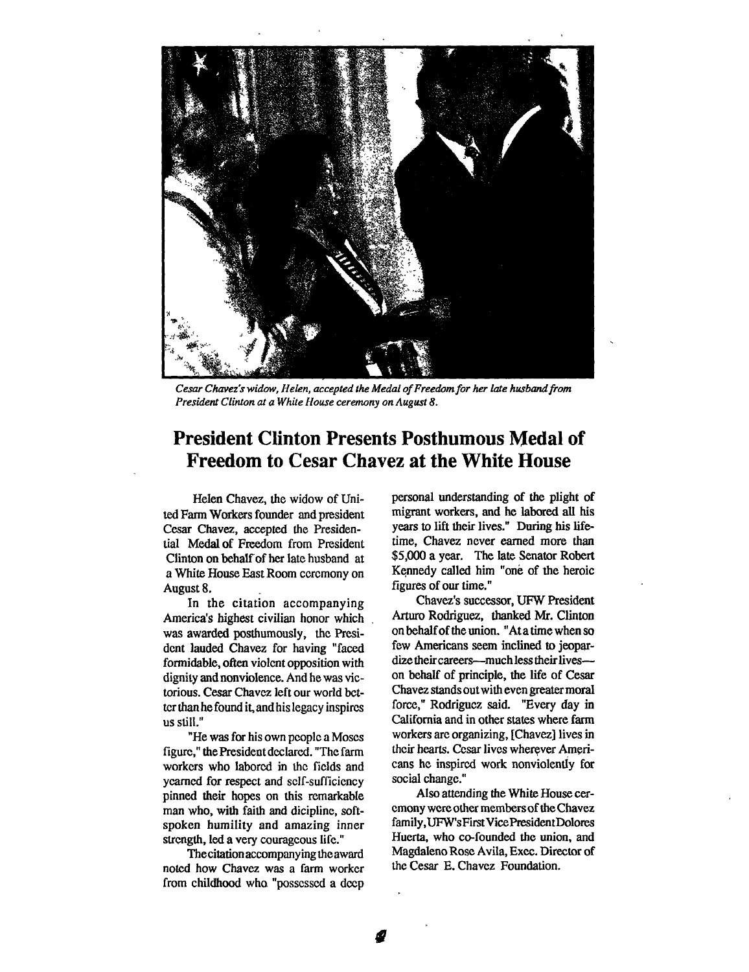

Cesar Chavez's widow, Helen, accepted the Medal of Freedom for her late husband from President Clinton at a White House ceremony on August 8.

## President Clinton Presents Posthumous Medal of Freedom to Cesar Chavez at the White House

Helen Chavez, the widow of United Farm Workers founder and president Cesar Chavez, accepted the Presidential Medal of Freedom from President Clinton on behalf of her late husband at a White House East Room ceremony on August 8.

In the citation accompanying America's highest civilian honor which was awarded posthumously, the President lauded Chavez for having "faced formidable, often violent opposition with dignity and nonviolence. And he was victorious. Cesar Chavez left our world better than he found it, and his legacy inspires us still."

"He was for his own people a Moses figure," the President declared. "The farm workers who labored in the fields and yearned for respect and self-sufficiency pinned their hopes on this remarkable man who, with faith and dicipline, softspoken humility and amazing inner strength, led a very courageous life."

The citation accompanying the award noted how Chavez was a farm worker from childhood who "possessed a deep

personal understanding of the plight of migrant workers, and he labored all his years to lift their lives." During his lifetime, Chavez never earned more than \$5,000 a year. The late Senator Robert Kennedy called him "one of the heroic figures of our time."

Chavez's successor, UFW President Arturo Rodriguez, thanked Mr. Clinton on behalf of the union. "At a time when so few Americans seem inclined to jeopardize their careers---much less their lives--on behalf of principle, the life of Cesar Chavez stands out with even greater moral force," Rodriguez said. "Every day in California and in other states where farm workers are organizing, [Chavez] lives in their hearts. Cesar lives wherever Americans he inspired work nonviolently for social change."

Also attending the White House ceremony were other members of the Chavez family,UFW's First Vice President Dolores Huerta, who co-founded the union, and Magdaleno Rose Avila, Exec. Director of the Cesar E. Chavez Foundation.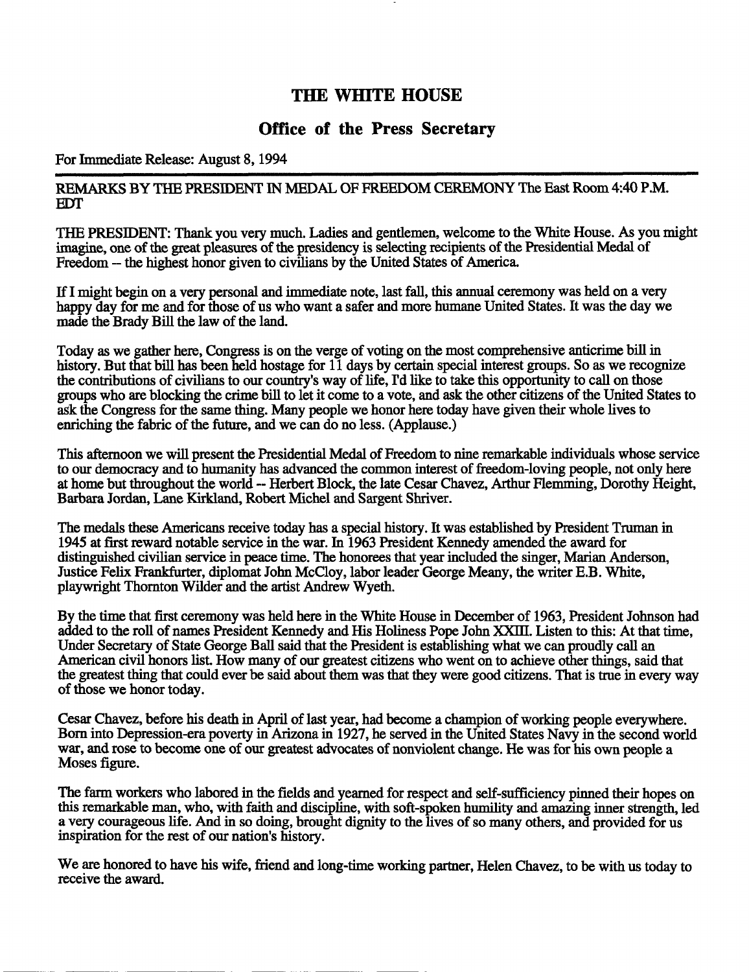### THE WHITE HOUSE

### Office of the Press Secretary

#### For Immediate Release: August 8, 1994

#### REMARKS BY THE PRESIDENT IN MEDAL OF FREEDOM CEREMONY The East Room 4:40 P.M. EDT

THE PRESIDENT: Thank you very much. Ladies and gentlemen, welcome to the White House. As you might imagine, one of the great pleasures of the presidency is selecting recipients of the Presidential Medal of Freedom -- the highest honor given to civilians by the United States of America.

If I might begin on a very personal and immediate note, last fall, this annual ceremony was held on a very happy day for me and for those of us who want a safer and more humane United States. It was the day we made the Brady Bill the law of the land.

Today as we gather here, Congress is on the verge of voting on the most comprehensive anticrime bill in history. But that bill has been held hostage for 11 days by certain special interest groups. So as we recognize the contributions of civilians to our country's wayof life, I'd like to take this opportunity to call on those groups who are blocking the crime bill to let it come to a vote, and ask the other citizens of the United States to ask the Congress for the same thing. Many people we honor here today have given their whole lives to enriching the fabric of the future, and we can do no less. (Applause.)

This afternoon we will present the Presidential Medal of Freedom to nine remarkable individuals whose service to our democracy and to humanity has advanced the common interest of freedom-loving people, not only here at home but throughout the world -- Herbert Block, the late Cesar Chavez, Arthur Flemming, Dorothy Height, Barbara Jordan, Lane Kirkland, Robert Michel and Sargent Shriver.

The medals these Americans receive today has a special history. Itwas established by President Truman in 1945 at first reward notable service in the war. In 1963 President Kennedy amended the award for distinguished civilian service in peace time. The honorees that year included the singer, Marian Anderson, Justice Felix Frankfurter, diplomat John McCloy, labor leader George Meany, the writer E.B. White, playwright Thornton Wilder and the artist Andrew Wyeth.

By the time that first ceremony was held here in the White House in December of 1963, President Johnson had added to the roll of names President Kennedy and His Holiness Pope John XXIII. Listen to this: At that time, Under Secretary of State George Ball said that the President is establishing what we can proudly call an American civil honors list. How many of our greatest citizens who went on to achieve other things, said that the greatest thing that could ever be said about them was that they were good citizens. That is true in every way of those we honor today.

Cesar Chavez, before his death in April of last year, had become a champion of working people everywhere. Born into Depression-era poverty in Arizona in 1927, he served in the United States Navy in the second world war, and rose to become one of our greatest advocates of nonviolent change. He was for his own people a Moses figure.

The farm workers who labored in the fields and yearned for respect and self-sufficiency pined their hopes on this remarkable man, who, with faith and discipline, with soft-spoken humility and amazing inner strength, led a very courageous life. And in so doing, brought dignity to the lives of so many others, and provided for us inspiration for the rest of our nation's history.

We are honored to have his wife, friend and long-time working partner, Helen Chavez, to be with us today to receive the award.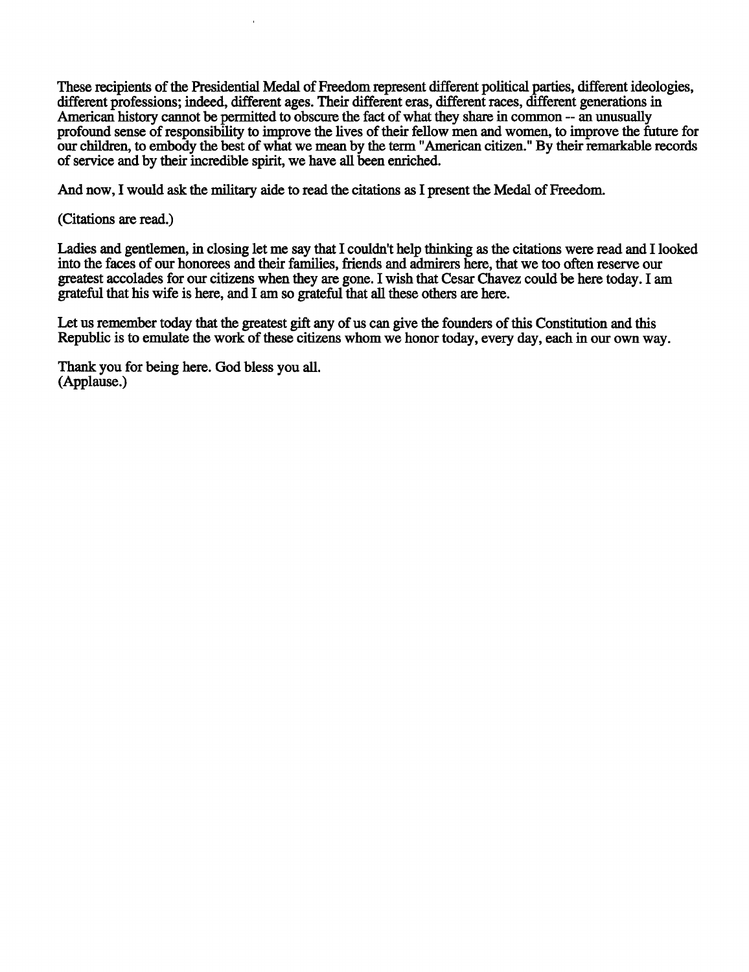These recipients of the Presidential Medal of Freedom represent different political parties, different ideologies, different professions; indeed, different ages. Their different eras, different races, different generations in American history cannot be permitted to obscure the fact of what they share in common -- an unusually profound sense of responsibility to improve the lives of their fellow men and women, to improve the future for our children, to embody the best of what we mean by the term "American citizen." By their remarkable records of service and by their incredible spirit, wehave all been enriched.

And now, I would ask the military aide to read the citations as I present the Medal of Freedom.

#### (Citations are read.)

Ladies and gentlemen, in closing let me say that I couldn't help thinking as the citations were read and I looked into the faces of our honorees and their families, friends and admirers here, that we too often reserve our greatest accolades for our citizens when they are gone. Iwish that Cesar Chavez could be here today. I am grateful that his wife is here, and I am so grateful that all these others are here.

Let us remember today that the greatest gift any of us can give the founders of this Constitution and this Republic is to emulate the work of these citizens whom we honor today, every day, each in our own way.

Thank you for being here. God bless you all. (Applause.)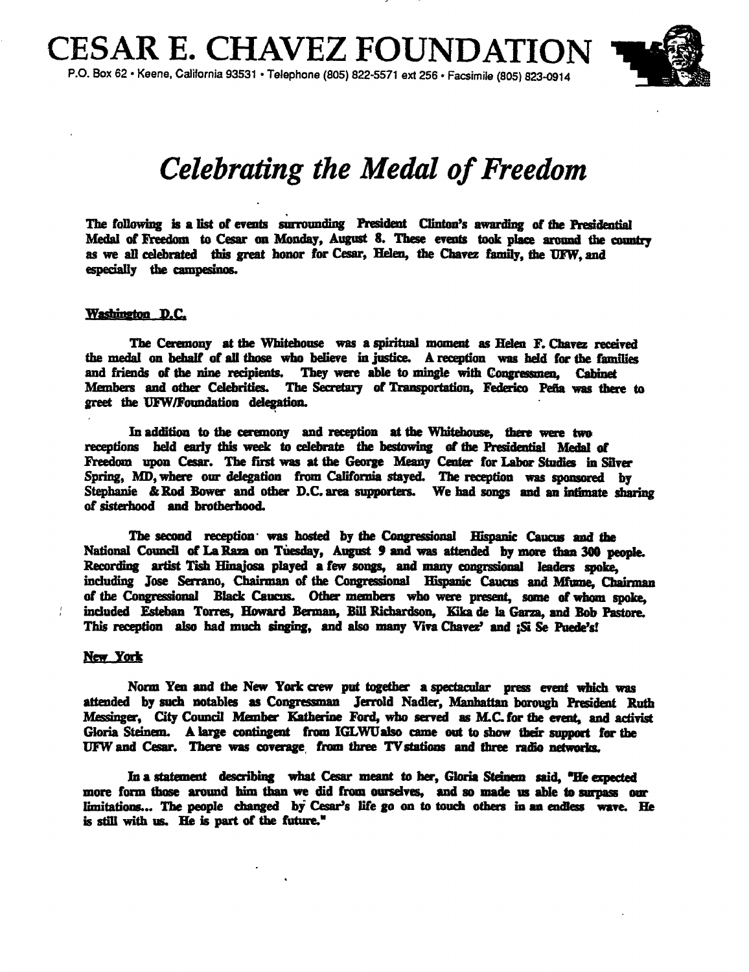

# Celebrating the Medal of Freedom

The following is a list of events surrounding President Clinton's awarding of the Presidential Medal of Freedom to Cesar on Monday, August 8. These events took place around the country as we all celebrated this great honor for Cesar, Helen, the Chavez family, the UFW, and especially the campesinos.

#### Washington D.C.

The Ceremony at the Whitehouse was a spiritual moment as Helen F. Chavez received the medal on behalf of all those who believe in justice. A reception was held for the families and friends of the nine recipients. They were able to mingle with Congressmen. Cabinet Members and other Celebrities. The Secretary of Transportation, Federico Pena was there to greet the UFW/Foundation delegation.

In addition to the ceremony and reception at the Whitehouse, there were two receptions held early this week to celebrate the bestowing of the Presidential Medal of Freedom upon Cesar. The first was at the George Meany Center for Labor Studies in Silver Spring, MD, where our delegation from California stayed. The reception was sponsored by Stephanie & Rod Bower and other D.C. area supporters. We had songs and an intimate sharing of sisterhood and brotherhood.

The second reception was hosted by the Congressional Hispanic Caucus and the National Council of La Raza on Tuesday, August 9 and was attended by more finn 300 people. Recording artist Tish Hinajosa played a few songs, and many congrssional leaders spoke. including Jose Serrano, Chairman of the Congressional Hispanic Caucus and Mfume, Chairman of the Congressional Black Caucus. Other members who were present, some of whom spoke, included Esteban Torres, Howard Berman, Bill Richardson, Kika de la Garza, and Bob This reception also had much singing, and also many Viva Chavez' and :Si Se Puede's!

#### New York

Norm Yen and the New York crew put together a spectacular press event which was attended by such notables as Congressman Jerrold Nadler, Manhattan borough President Ruth Messinger, City Council Member Katherine Ford, who served as M.C. for the event, and activist Gloria Steinem. Alarge contingent from IGLWU also came out to show their support for the UFW and Cesar. There was coverage from three TV stations and three radio networks.

In a statement describing what Cesar meant to her, Gloria Steinem said, "He expected more form those around him than we did from ourselves, and so made us able to surpass our limitations... The people changed by Cesar's life go on to touch others in an endless wave. He is still with us. He is part of the future."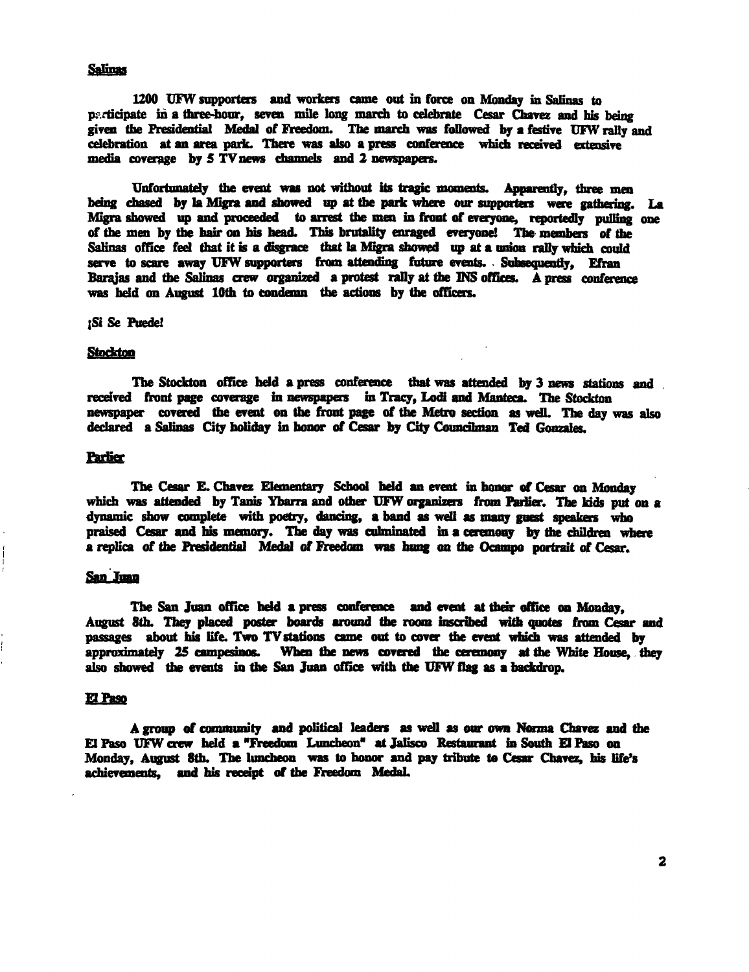#### **Salinas**

1200 UFW supporters and workers came out in force on Monday in Salinas to participate in a three-hour, seven mile long march to celebrate Cesar Chavez and his being given the Presidential Medal of' Freedom. The march was followed by s festive UFW rally and celebration at an area park. There was also a press conference which received extensive media coverage by  $5$  TV news channels and 2 newspapers.

Unfortunately the event was not without its tragic moments. Apparently, three men being chased by la Migra and showed up at the park where our supporters were gathering. La Migra showed up and proceeded to arrest the men in front of everyone, reportedly pulling one of the men by the hair on his head. This brutality enraged everyone! The members of the Salinas office feel that it is a disgrace that la Migra showed up at a union rally which could serve to scare away UFW supporters from attending future events. Subsequently, Efran Barajas and the Salinas crew organized a protest rally at the INS offices. A press conference was held on August 10th to condemn the actions by the officers.

#### **Si Se Puede!**

#### **Stockton**

The Stockton office held a press conference that was attended by 3 news stations and , received front page coverage in newspapers in Tracy, Lodi and Manteca. The Stockton newspaper covered the event on the front page of the Metro section as well. The day was also declared a Salinas City holiday in honor of Cesar by City Councilman Ted Gonzales.

#### **Parlier**

The Cesar E. Chavez Elementary School held an event in honor of Cesar on Monday which was attended by Tanis Ybarra and other UFW organizers from Parlier. The kids put on a dynamic show complete with poetry, dancing, a band as well as many guest speakers who praised Cesar and his memory. The day was culminated in a ceremony by the children where a replca of the Presidential Medal of Freedom was hung on the Ocampo portrait of Cesar.

#### San Juan

The San Juan office held a press conference and event at their office on Monday. August 8th. They placed poster boards around the roam inscribed with quotes from Cesar and passages about his life. Two TV stations came out to cover the event which was attended by approximately 25 campesinos. When the news covered the ceremony at the White House, they also showed the events in the San Juan office with the UFW flag as a backdrop.

#### El Paso

A group of community and political leaders as well as our own Norma Chavez and the EIPaso UFW crew held a"Freedom Luncheon" at Jalisco Restaurant in South El Paso on Monday, August 8th. The luncheon was to honor and pay tribute to Cesar Chavez, his life's achievements, and his receipt of the Freedom Medal.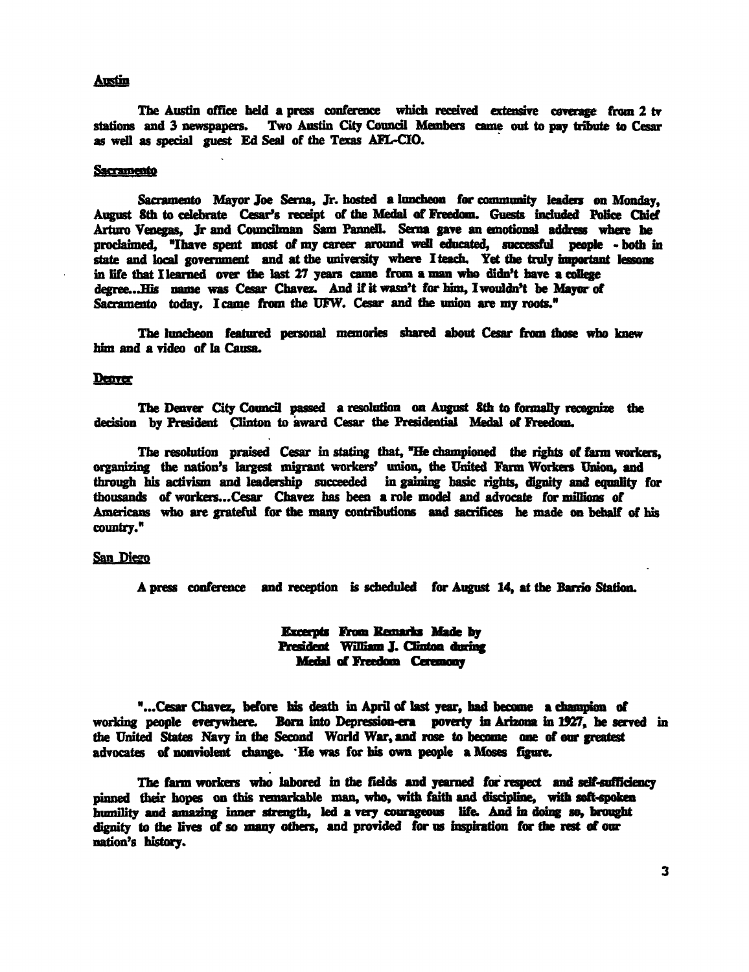#### Austin

The Austin office held a press conference which received extensive coverage from 2 tv stations and 3 newspapers. Two Austin City Council Members came out to pay tribute to Cesar as well as special guest Ed Seal of the Texas AFL-CIO.

#### **Sacramento**

Sacramento Mayor Joe Serna, Jr. hosted aluncheon for community leaders on Monday, August 8th to celebrate Cesar's receipt of the Medal of Freedom. Guests included Police Chief Arturo Venegas, Jr and Councilman Sam Pannell. Serna gave an emotional address where he proclaimed, "I have spent most of my career around well educated, successful people - both in state and local government and at the university where Iteach. Yet the truly important lessons in life that I learned over the last 27 years came from a man who didn't have a college degree... His name was Cesar Chavez. And if it wasn't for him, I wouldn't be Mayor of Sacramento today. I came from the UFW. Cesar and the union are my roots."

The luncheon featured personal memories shared about Cesar from those who knew him and a video of la Causa.

#### Denver

The Denver City Council passed a resolution on August 8th to formally recognize the decision by President Clinton to award Cesar the Presidential Medal of Freedom.

The resolution praised Cesar in stating that, "He championed the rights of farm workers, organizing the nation's largest migrant workers' union, the United Farm Workers Union, and through his activism and leadership succeeded in gaining basic rights, dignity and equality for thousands of workers...Cesar Chavez has been a role model and advocate for millions of Americans who are grateful for the many contributions and sacrifices he made on behalf of his county. "

#### San Diego

A press conference and reception is scheduled for August 14, at the Barrio Station.

#### **Excerpts From Remarks Made by** President William J. Clinton during Medal of Freedom Ceremony

"...Cesar Chavez, before his death in April of last year, had become a champion of working people everywhere. Born into Depression-era poverty in Arizona in 1927, he served in the United States Navy in the Second World War, and rose to become one of our greatest advocates of nonviolent change. 'He was for his own people a Moses figure.

The farm workers who labored in the fields and yearned for respect and self-sufficiency pinned their hopes on this remarkable man, who, with faith and discipline, with soft-spoken humility and amazing inner strength, led a very courageous life. And in doing so, brought dignity to the lives of so many others, and provided for us inspiration for the rest of our nation's history.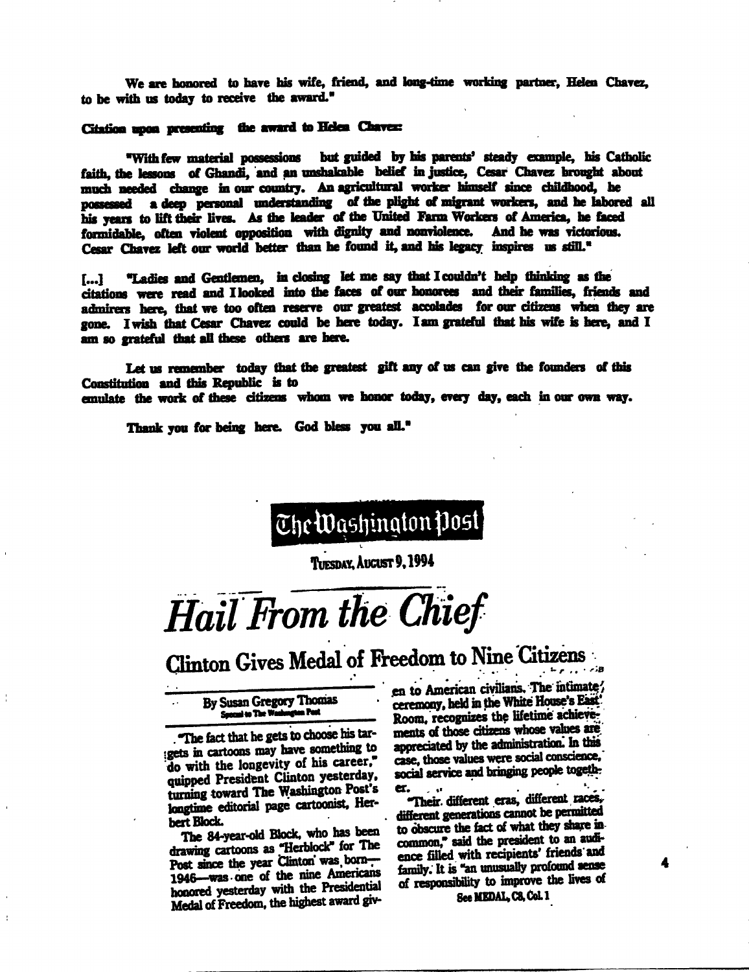We are honored to have his wife, friend, and long-time working partner. Helen Chavez. to be with us today to receive the award."

#### Citation upon presenting the award to Helen Chavez:

"With few material possessions but guided by his parents' steady example, his Catholic faith, the lessons of Ghandi, and an unshakable belief in justice, Cesar Chavez brought about much needed change in our country. An agricultural worker himself since childhood, he possessed a deep personal understanding of the plight of migrant workers, and he labored all his years to lift their lives. As the leader of the United Farm Workers of America, he faced formidable, often violent opposition with dignity and nonviolence. And he was victorious. Cesar Chavez left our world better than he found it, and his legacy inspires us still."

"Ladies and Gentlemen, in closing let me say that I couldn't help thinking as the  $\left[\ldots\right]$ citations were read and I looked into the faces of our honorees and their families, friends and admirers here, that we too often reserve our greatest accolades for our citizens when they are gone. I wish that Cesar Chavez could be here today. I am grateful that his wife is here, and I am so grateful that all these others are here.

Let us remember today that the greatest gift any of us can give the founders of this Constitution and this Republic is to emulate the work of these citizens whom we honor today, every day, each in our own way.

Thank vou for being here. God bless you all."

# The Washington Post

THESDAY, AUGUST 9, 1994

# Hail From the Chief

Clinton Gives Medal of Freedom to Nine Citizens  $\mathcal{L} \cong \mathcal{L} \times \mathcal{L} \times \mathcal{L} \times \mathcal{B}$ 

#### By Susan Gregory Thomas Special to The Washington Post

The fact that he gets to choose his targets in cartoons may have something to do with the longevity of his career." quipped President Clinton yesterday, turning toward The Washington Post's longtime editorial page cartoonist, Herbert Block.

The 84-year-old Block, who has been drawing cartoons as "Herblock" for The<br>Post since the year Clinton was born-1946-was one of the nine Americans honored yesterday with the Presidential Medal of Freedom, the highest award given to American civilians. The intimate! ceremony, held in the White House's East Room, recognizes the lifetime achievements of those citizens whose values are appreciated by the administration. In this case, those values were social conscience, social service and bringing people together.  $\mathbf{r}$ 

Their different eras, different races, different generations cannot be permitted to obscure the fact of what they share incommon," said the president to an audience filled with recipients' friends and family. It is "an unusually profound sense of responsibility to improve the lives of

See MEDAL C8, Col. 1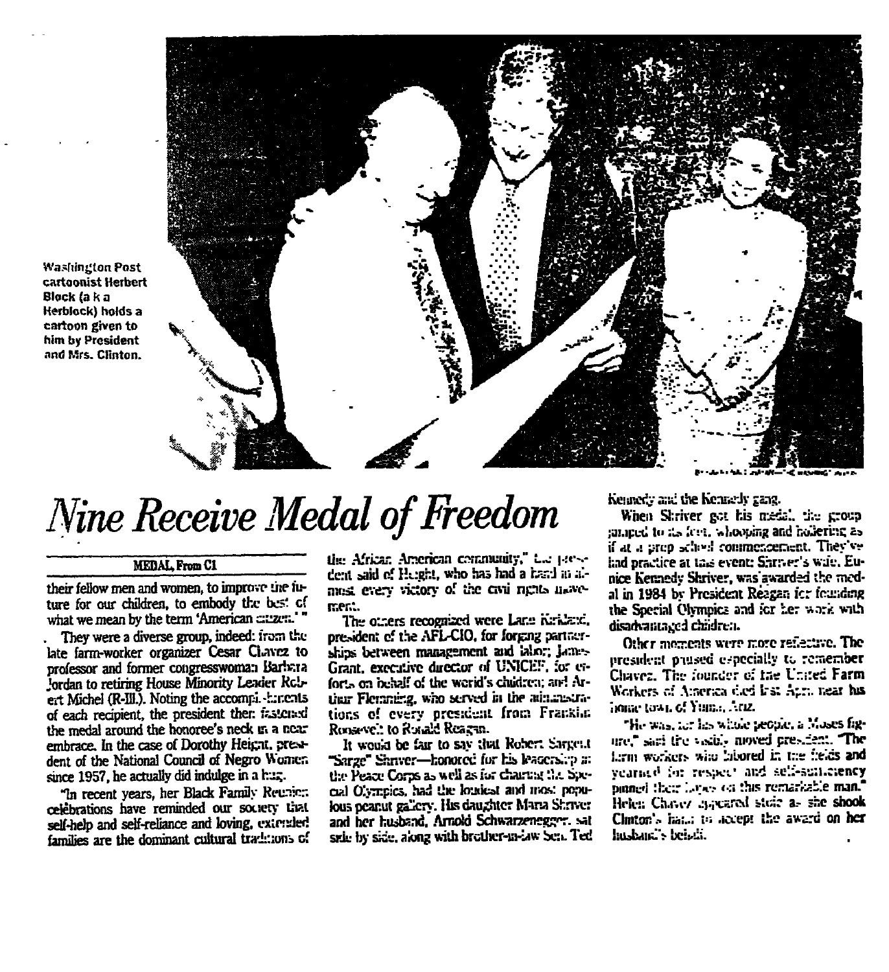**Washington Post** cartoonist Herbert Block (a k a Herblock) holds a cartoon given to him by President and Mrs. Clinton.



# Nine Receive Medal of Freedom

#### **MEDAL From C1**

their fellow men and women, to improve the future for our children, to embody the best of what we mean by the term 'American cauzen.'"

They were a diverse group, indeed: from the late farm-worker organizer Cesar Clavez to professor and former congresswoman Barbara Jordan to retiring House Minority Lewier Rcbert Michel (R-III.). Noting the accompi - :: r.c.nts of each recipient, the president ther. izsterad the medal around the honoree's neck ut a near embrace. In the case of Dorothy Height, president of the National Council of Negro Women since 1957, he actually did indulge in a huz.

"In recent years, her Black Family Reunic:: celebrations have reminded our society that self-help and self-reliance and loving. extended families are the dominant cultural traditions of the African American community," the presdent said of Height, who has had a hand in almest every victory of the civil rights movement.

The others recognized were Lane Kirklaxi. president of the AFL-CIO, for forging partnerships between management and labor; Lones Grant, executive director of UNICEF, for erforts on behalf of the world's chudren; and Artitur Fleraning, who served in the administrations of every president from Franklin Roosevel: to Rocald Reacan.

It would be fair to say that Robert Sarrent "Sarge" Shriver-honored for his leadership at the Peace Corps as well as for chartest the Sixcial Olympics, had the loudest and most populous peanut gallery. His daughter Maria Shriver and her husband, Arnold Schwarzenegger, sat side by side, along with brother-m-law Sen. Ted Kennedy and the Kennedy gang.

When Shriver pot his medal, the crosp ranneed to its feet, who, oning and holiering as if at a prep school commencement. They've had practice at this event: Shriver's wife, Eunice Kennedy Shriver, was awarded the medal in 1984 by President Reagan for founding the Special Olympics and for her work with disadvantaged children.

Other moments were more reflective. The president paused especially to remember Chavez. The founder of the United Farm Workers of America died Irst Aum near his **Joine town of Yuman Ariz.** 

"He was, for his whole people, a Moses figare," sari the visits moved president. The Linn workers who labored in the fields and yearned for respect and self-suitemency pinned their layers on this remarkable man." Helen Chavez mayered stoic as she shook Clinton's hat..; to necept the award on her hushan,'s beisdi.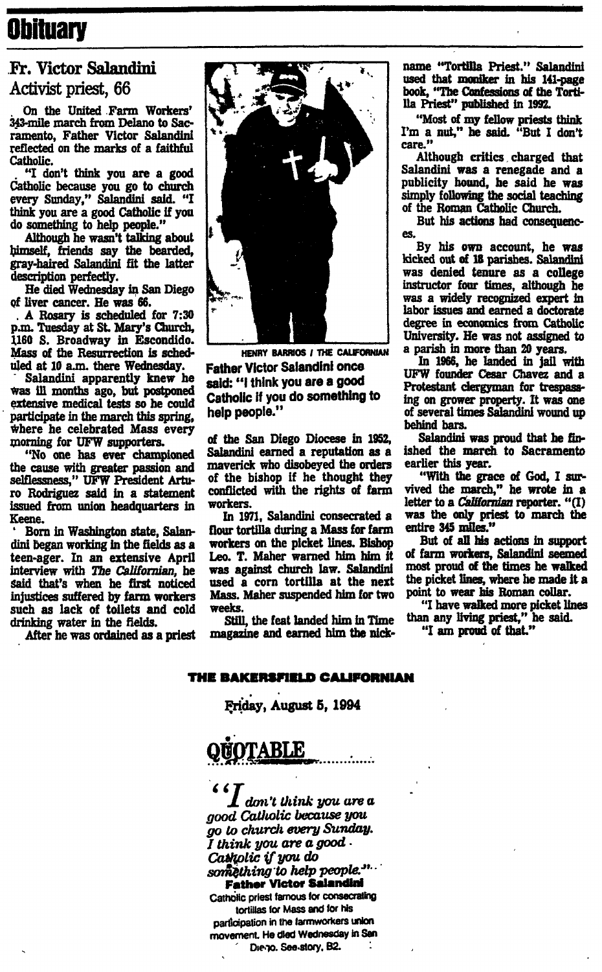## **Obituary**

### Fr. Victor Salandini Activist priest, 66

On the United Farm Workers' 343-mile march from Delano to Sacramento, Father Victor Salandini reflected on the marks of a faithful Catholic.

"I don't think you are a good Catholic because you go to church every Sunday," Salandini said. "I think you are a good Catholic if you do something to help people."

Although he wasn't talking about himself, friends say the bearded, gray-haired Salandini fit the latter description perfectly.

He died Wednesday in San Diego of liver cancer. He was 66.

A Rosary is scheduled for 7:30 p.m. Tuesday at St. Mary's Church, 1160 S. Broadway in Escondido. Mass of the Resurrection is scheduled at 10 a.m. there Wednesday.

Salandini apparently knew he was ill months ago, but postponed extensive medical tests so he could participate in the march this spring, where he celebrated Mass every morning for UFW supporters.

"No one has ever championed the cause with greater passion and selflessness," UFW President Arturo Rodriguez said in a statement issued from union headquarters in Keene.

Born in Washington state, Salandini began working in the fields as a teen-ager. In an extensive April interview with The Californian, he said that's when he first noticed injustices suffered by farm workers such as lack of toilets and cold drinking water in the fields.

After he was ordained as a priest



HENRY BARRIOS / THE CALIFORNIAN **Father Victor Salandini once** said: "I think you are a good Catholic if you do something to help people."

of the San Diego Diocese in 1952, Salandini earned a reputation as a maverick who disobeyed the orders of the bishop if he thought they conflicted with the rights of farm workers.

In 1971, Salandini consecrated a flour tortilla during a Mass for farm workers on the picket lines. Bishop Leo. T. Maher warned him him it was against church law. Salandini used a corn tortilla at the next Mass. Maher suspended him for two weeks.

Still, the feat landed him in Time magazine and earned him the nickname "Tortilla Priest." Salandini used that moniker in his 141-page book, "The Confessions of the Tortilla Priest" published in 1992.

"Most of my fellow priests think I'm a nut," he said. "But I don't care."

Although critics charged that Salandini was a renegade and a publicity hound, he said he was simply following the social teaching of the Roman Catholic Church.

But his actions had consequences.

By his own account, he was kicked out of 18 parishes. Salandini was denied tenure as a college instructor four times, although he was a widely recognized expert in labor issues and earned a doctorate degree in economics from Catholic University. He was not assigned to a parish in more than 20 years.

In 1966, he landed in jail with UFW founder Cesar Chavez and a Protestant clergyman for trespassing on grower property. It was one of several times Salandini wound up behind bars.

Salandini was proud that he finished the march to Sacramento earlier this year.

"With the grace of God, I survived the march." he wrote in a letter to a *Californian* reporter. "(I) was the only priest to march the entire 345 miles."

But of all his actions in support of farm workers, Salandini seemed most proud of the times he walked the picket lines, where he made it a point to wear his Roman collar.

"I have walked more picket lines<br>than any living priest," he said.

"I am proud of that."

#### THE BAKERSFIELD CALIFORNIAN

Friday, August 5, 1994

## **ABLE**

. don't think you are a good Catholic because you go to church every Sunday. I think you are a good . Catholic if you do something to help people.".

**Father Victor Salandini** Catholic priest famous for consecrating tortillas for Mass and for his participation in the farmworkers union movement. He died Wednesday in San Die yo. See story, B2.